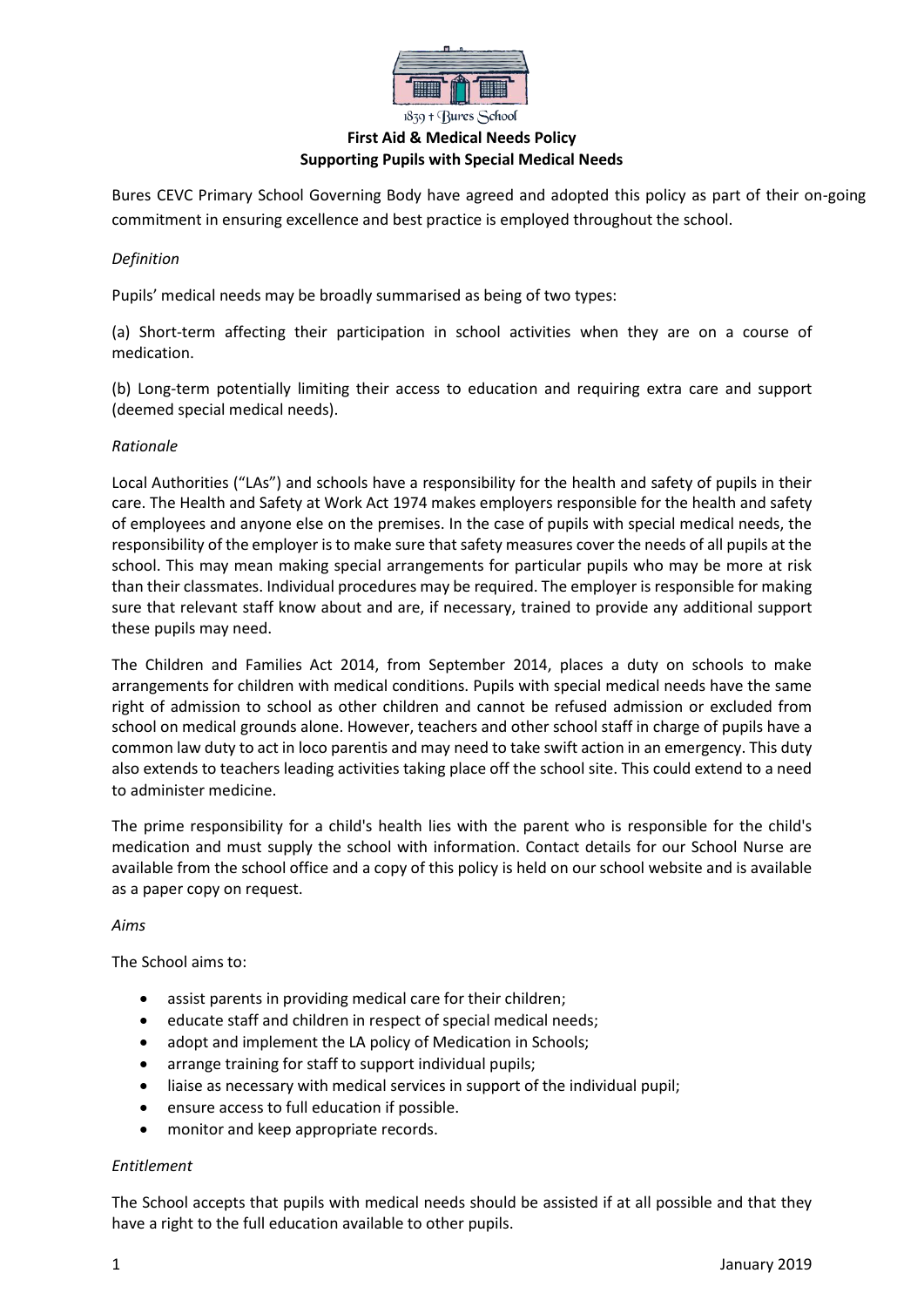

## **First Aid & Medical Needs Policy Supporting Pupils with Special Medical Needs**

Bures CEVC Primary School Governing Body have agreed and adopted this policy as part of their on-going commitment in ensuring excellence and best practice is employed throughout the school.

## *Definition*

Pupils' medical needs may be broadly summarised as being of two types:

(a) Short-term affecting their participation in school activities when they are on a course of medication.

(b) Long-term potentially limiting their access to education and requiring extra care and support (deemed special medical needs).

## *Rationale*

Local Authorities ("LAs") and schools have a responsibility for the health and safety of pupils in their care. The Health and Safety at Work Act 1974 makes employers responsible for the health and safety of employees and anyone else on the premises. In the case of pupils with special medical needs, the responsibility of the employer is to make sure that safety measures cover the needs of all pupils at the school. This may mean making special arrangements for particular pupils who may be more at risk than their classmates. Individual procedures may be required. The employer is responsible for making sure that relevant staff know about and are, if necessary, trained to provide any additional support these pupils may need.

The Children and Families Act 2014, from September 2014, places a duty on schools to make arrangements for children with medical conditions. Pupils with special medical needs have the same right of admission to school as other children and cannot be refused admission or excluded from school on medical grounds alone. However, teachers and other school staff in charge of pupils have a common law duty to act in loco parentis and may need to take swift action in an emergency. This duty also extends to teachers leading activities taking place off the school site. This could extend to a need to administer medicine.

The prime responsibility for a child's health lies with the parent who is responsible for the child's medication and must supply the school with information. Contact details for our School Nurse are available from the school office and a copy of this policy is held on our school website and is available as a paper copy on request.

#### *Aims*

The School aims to:

- assist parents in providing medical care for their children;
- educate staff and children in respect of special medical needs;
- adopt and implement the LA policy of Medication in Schools;
- arrange training for staff to support individual pupils;
- liaise as necessary with medical services in support of the individual pupil;
- ensure access to full education if possible.
- monitor and keep appropriate records.

#### *Entitlement*

The School accepts that pupils with medical needs should be assisted if at all possible and that they have a right to the full education available to other pupils.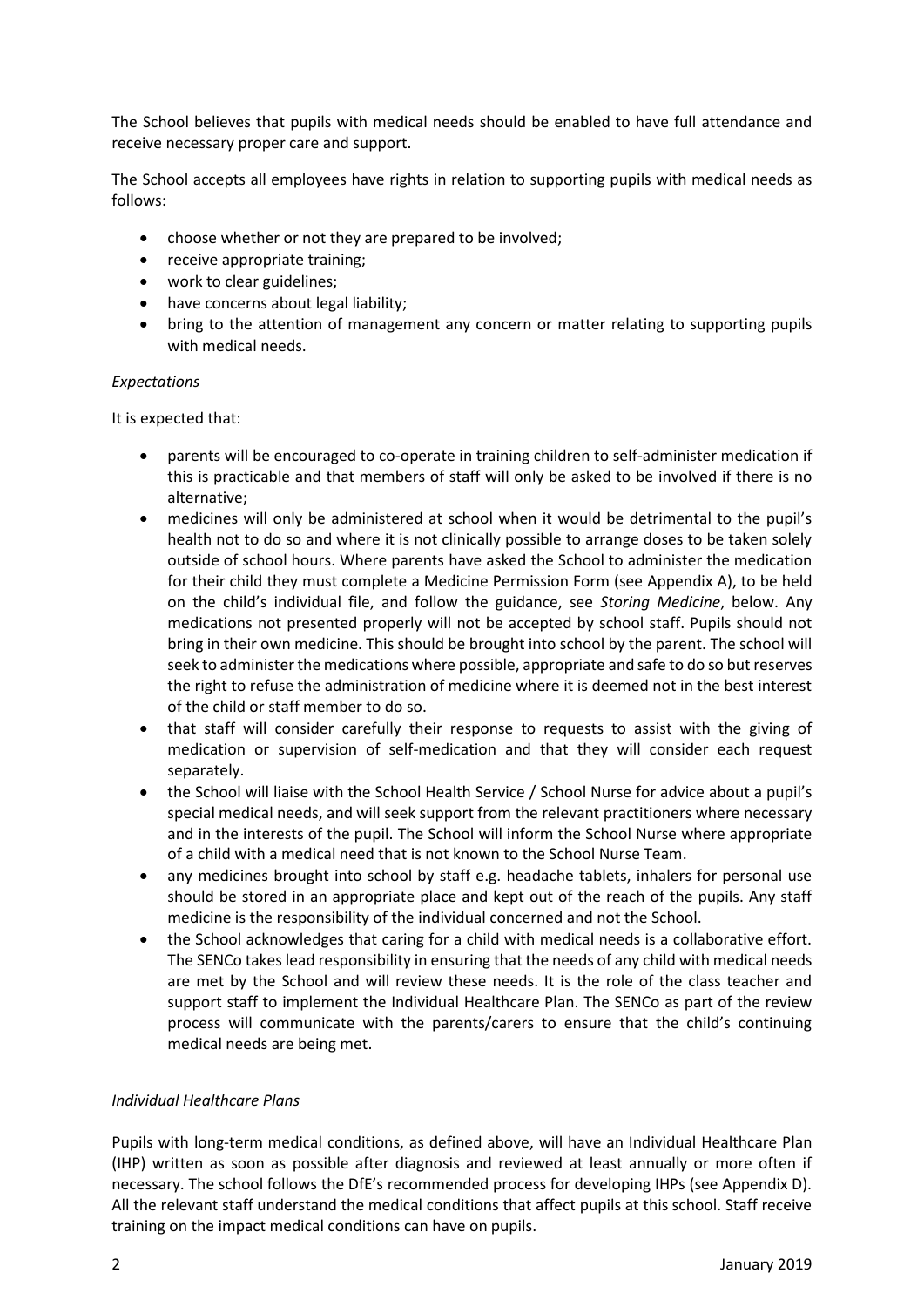The School believes that pupils with medical needs should be enabled to have full attendance and receive necessary proper care and support.

The School accepts all employees have rights in relation to supporting pupils with medical needs as follows:

- choose whether or not they are prepared to be involved;
- receive appropriate training;
- work to clear guidelines:
- have concerns about legal liability;
- bring to the attention of management any concern or matter relating to supporting pupils with medical needs.

#### *Expectations*

It is expected that:

- parents will be encouraged to co-operate in training children to self-administer medication if this is practicable and that members of staff will only be asked to be involved if there is no alternative;
- medicines will only be administered at school when it would be detrimental to the pupil's health not to do so and where it is not clinically possible to arrange doses to be taken solely outside of school hours. Where parents have asked the School to administer the medication for their child they must complete a Medicine Permission Form (see Appendix A), to be held on the child's individual file, and follow the guidance, see *Storing Medicine*, below. Any medications not presented properly will not be accepted by school staff. Pupils should not bring in their own medicine. This should be brought into school by the parent. The school will seek to administer the medications where possible, appropriate and safe to do so but reserves the right to refuse the administration of medicine where it is deemed not in the best interest of the child or staff member to do so.
- that staff will consider carefully their response to requests to assist with the giving of medication or supervision of self-medication and that they will consider each request separately.
- the School will liaise with the School Health Service / School Nurse for advice about a pupil's special medical needs, and will seek support from the relevant practitioners where necessary and in the interests of the pupil. The School will inform the School Nurse where appropriate of a child with a medical need that is not known to the School Nurse Team.
- any medicines brought into school by staff e.g. headache tablets, inhalers for personal use should be stored in an appropriate place and kept out of the reach of the pupils. Any staff medicine is the responsibility of the individual concerned and not the School.
- the School acknowledges that caring for a child with medical needs is a collaborative effort. The SENCo takes lead responsibility in ensuring that the needs of any child with medical needs are met by the School and will review these needs. It is the role of the class teacher and support staff to implement the Individual Healthcare Plan. The SENCo as part of the review process will communicate with the parents/carers to ensure that the child's continuing medical needs are being met.

#### *Individual Healthcare Plans*

Pupils with long-term medical conditions, as defined above, will have an Individual Healthcare Plan (IHP) written as soon as possible after diagnosis and reviewed at least annually or more often if necessary. The school follows the DfE's recommended process for developing IHPs (see Appendix D). All the relevant staff understand the medical conditions that affect pupils at this school. Staff receive training on the impact medical conditions can have on pupils.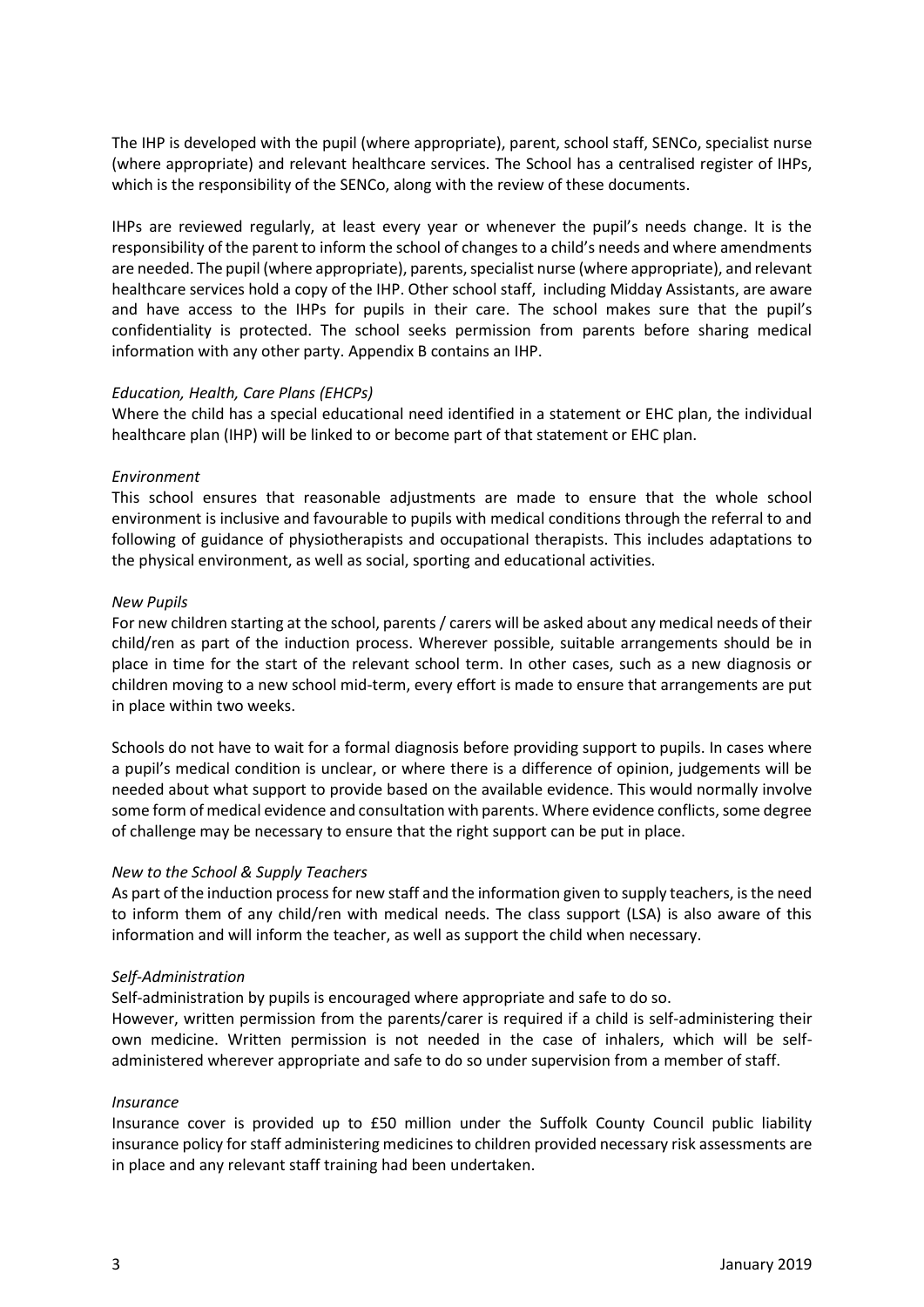The IHP is developed with the pupil (where appropriate), parent, school staff, SENCo, specialist nurse (where appropriate) and relevant healthcare services. The School has a centralised register of IHPs, which is the responsibility of the SENCo, along with the review of these documents.

IHPs are reviewed regularly, at least every year or whenever the pupil's needs change. It is the responsibility of the parent to inform the school of changes to a child's needs and where amendments are needed. The pupil (where appropriate), parents, specialist nurse (where appropriate), and relevant healthcare services hold a copy of the IHP. Other school staff, including Midday Assistants, are aware and have access to the IHPs for pupils in their care. The school makes sure that the pupil's confidentiality is protected. The school seeks permission from parents before sharing medical information with any other party. Appendix B contains an IHP.

#### *Education, Health, Care Plans (EHCPs)*

Where the child has a special educational need identified in a statement or EHC plan, the individual healthcare plan (IHP) will be linked to or become part of that statement or EHC plan.

#### *Environment*

This school ensures that reasonable adjustments are made to ensure that the whole school environment is inclusive and favourable to pupils with medical conditions through the referral to and following of guidance of physiotherapists and occupational therapists. This includes adaptations to the physical environment, as well as social, sporting and educational activities.

#### *New Pupils*

For new children starting at the school, parents / carers will be asked about any medical needs of their child/ren as part of the induction process. Wherever possible, suitable arrangements should be in place in time for the start of the relevant school term. In other cases, such as a new diagnosis or children moving to a new school mid-term, every effort is made to ensure that arrangements are put in place within two weeks.

Schools do not have to wait for a formal diagnosis before providing support to pupils. In cases where a pupil's medical condition is unclear, or where there is a difference of opinion, judgements will be needed about what support to provide based on the available evidence. This would normally involve some form of medical evidence and consultation with parents. Where evidence conflicts, some degree of challenge may be necessary to ensure that the right support can be put in place.

#### *New to the School & Supply Teachers*

As part of the induction process for new staff and the information given to supply teachers, is the need to inform them of any child/ren with medical needs. The class support (LSA) is also aware of this information and will inform the teacher, as well as support the child when necessary.

#### *Self-Administration*

Self-administration by pupils is encouraged where appropriate and safe to do so.

However, written permission from the parents/carer is required if a child is self-administering their own medicine. Written permission is not needed in the case of inhalers, which will be selfadministered wherever appropriate and safe to do so under supervision from a member of staff.

#### *Insurance*

Insurance cover is provided up to £50 million under the Suffolk County Council public liability insurance policy for staff administering medicines to children provided necessary risk assessments are in place and any relevant staff training had been undertaken.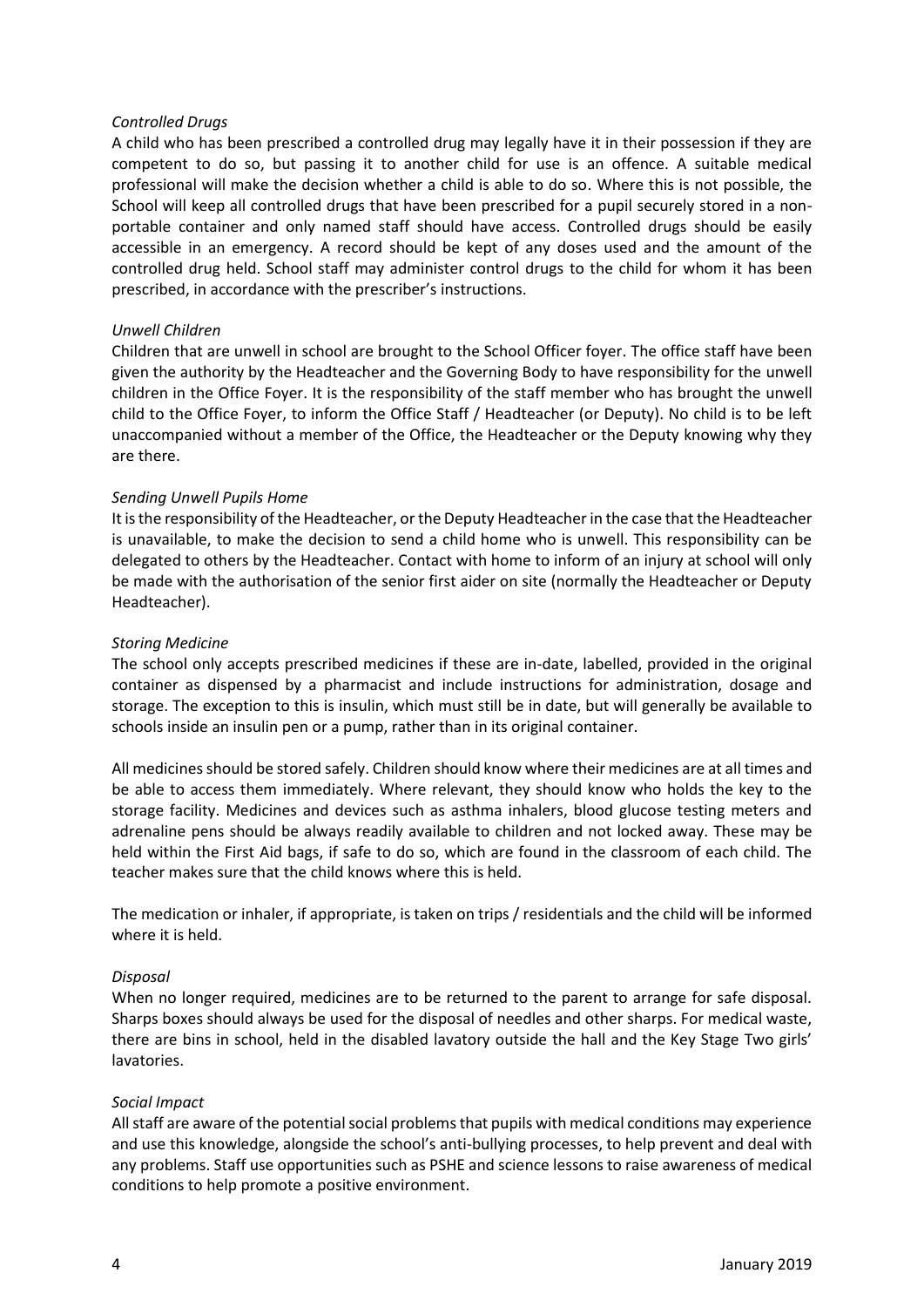#### *Controlled Drugs*

A child who has been prescribed a controlled drug may legally have it in their possession if they are competent to do so, but passing it to another child for use is an offence. A suitable medical professional will make the decision whether a child is able to do so. Where this is not possible, the School will keep all controlled drugs that have been prescribed for a pupil securely stored in a nonportable container and only named staff should have access. Controlled drugs should be easily accessible in an emergency. A record should be kept of any doses used and the amount of the controlled drug held. School staff may administer control drugs to the child for whom it has been prescribed, in accordance with the prescriber's instructions.

#### *Unwell Children*

Children that are unwell in school are brought to the School Officer foyer. The office staff have been given the authority by the Headteacher and the Governing Body to have responsibility for the unwell children in the Office Foyer. It is the responsibility of the staff member who has brought the unwell child to the Office Foyer, to inform the Office Staff / Headteacher (or Deputy). No child is to be left unaccompanied without a member of the Office, the Headteacher or the Deputy knowing why they are there.

#### *Sending Unwell Pupils Home*

It is the responsibility of the Headteacher, or the Deputy Headteacher in the case that the Headteacher is unavailable, to make the decision to send a child home who is unwell. This responsibility can be delegated to others by the Headteacher. Contact with home to inform of an injury at school will only be made with the authorisation of the senior first aider on site (normally the Headteacher or Deputy Headteacher).

#### *Storing Medicine*

The school only accepts prescribed medicines if these are in-date, labelled, provided in the original container as dispensed by a pharmacist and include instructions for administration, dosage and storage. The exception to this is insulin, which must still be in date, but will generally be available to schools inside an insulin pen or a pump, rather than in its original container.

All medicines should be stored safely. Children should know where their medicines are at all times and be able to access them immediately. Where relevant, they should know who holds the key to the storage facility. Medicines and devices such as asthma inhalers, blood glucose testing meters and adrenaline pens should be always readily available to children and not locked away. These may be held within the First Aid bags, if safe to do so, which are found in the classroom of each child. The teacher makes sure that the child knows where this is held.

The medication or inhaler, if appropriate, is taken on trips / residentials and the child will be informed where it is held.

#### *Disposal*

When no longer required, medicines are to be returned to the parent to arrange for safe disposal. Sharps boxes should always be used for the disposal of needles and other sharps. For medical waste, there are bins in school, held in the disabled lavatory outside the hall and the Key Stage Two girls' lavatories.

#### *Social Impact*

All staff are aware of the potential social problems that pupils with medical conditions may experience and use this knowledge, alongside the school's anti-bullying processes, to help prevent and deal with any problems. Staff use opportunities such as PSHE and science lessons to raise awareness of medical conditions to help promote a positive environment.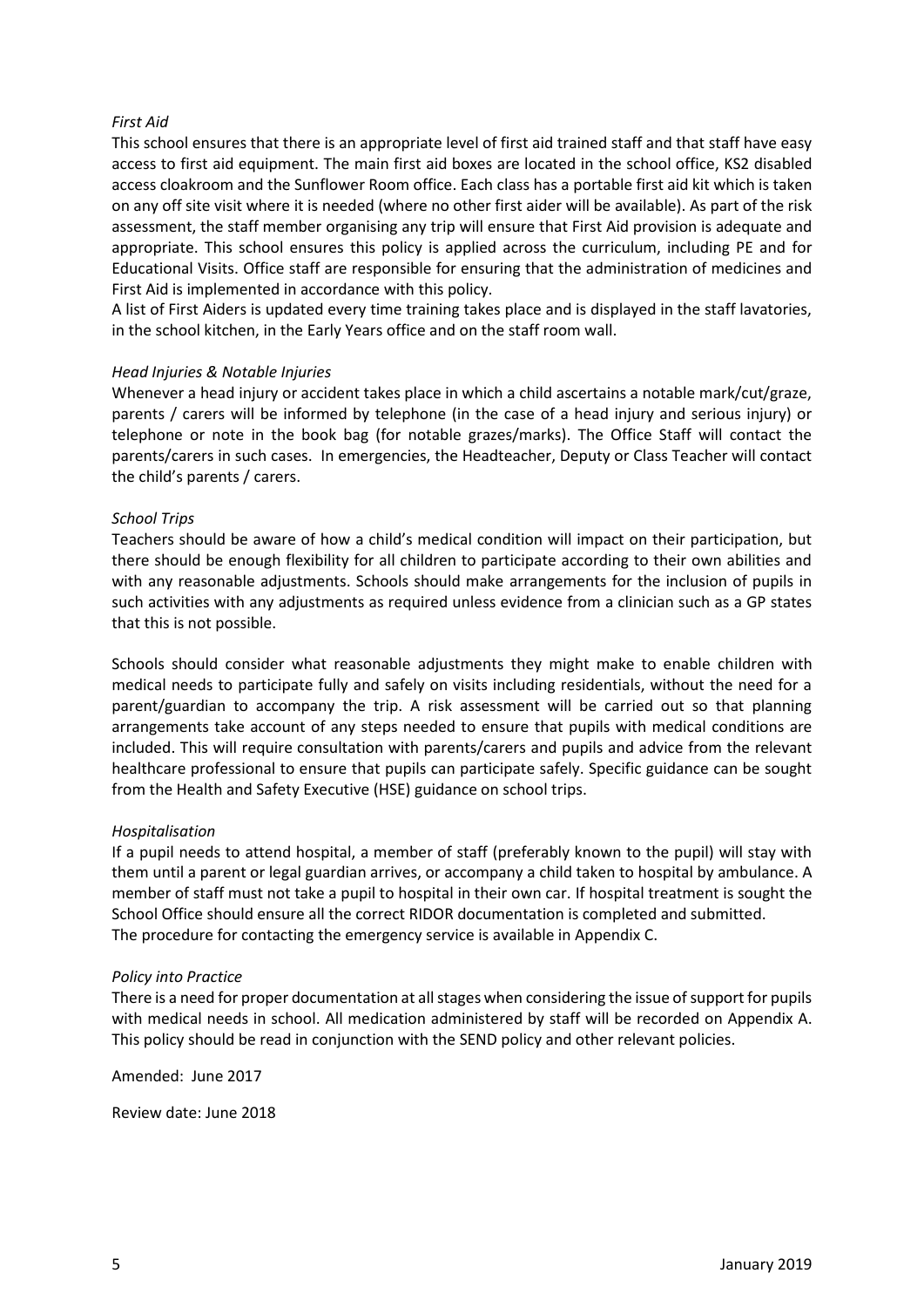#### *First Aid*

This school ensures that there is an appropriate level of first aid trained staff and that staff have easy access to first aid equipment. The main first aid boxes are located in the school office, KS2 disabled access cloakroom and the Sunflower Room office. Each class has a portable first aid kit which is taken on any off site visit where it is needed (where no other first aider will be available). As part of the risk assessment, the staff member organising any trip will ensure that First Aid provision is adequate and appropriate. This school ensures this policy is applied across the curriculum, including PE and for Educational Visits. Office staff are responsible for ensuring that the administration of medicines and First Aid is implemented in accordance with this policy.

A list of First Aiders is updated every time training takes place and is displayed in the staff lavatories, in the school kitchen, in the Early Years office and on the staff room wall.

#### *Head Injuries & Notable Injuries*

Whenever a head injury or accident takes place in which a child ascertains a notable mark/cut/graze, parents / carers will be informed by telephone (in the case of a head injury and serious injury) or telephone or note in the book bag (for notable grazes/marks). The Office Staff will contact the parents/carers in such cases. In emergencies, the Headteacher, Deputy or Class Teacher will contact the child's parents / carers.

#### *School Trips*

Teachers should be aware of how a child's medical condition will impact on their participation, but there should be enough flexibility for all children to participate according to their own abilities and with any reasonable adjustments. Schools should make arrangements for the inclusion of pupils in such activities with any adjustments as required unless evidence from a clinician such as a GP states that this is not possible.

Schools should consider what reasonable adjustments they might make to enable children with medical needs to participate fully and safely on visits including residentials, without the need for a parent/guardian to accompany the trip. A risk assessment will be carried out so that planning arrangements take account of any steps needed to ensure that pupils with medical conditions are included. This will require consultation with parents/carers and pupils and advice from the relevant healthcare professional to ensure that pupils can participate safely. Specific guidance can be sought from the Health and Safety Executive (HSE) guidance on school trips.

#### *Hospitalisation*

If a pupil needs to attend hospital, a member of staff (preferably known to the pupil) will stay with them until a parent or legal guardian arrives, or accompany a child taken to hospital by ambulance. A member of staff must not take a pupil to hospital in their own car. If hospital treatment is sought the School Office should ensure all the correct RIDOR documentation is completed and submitted. The procedure for contacting the emergency service is available in Appendix C.

#### *Policy into Practice*

There is a need for proper documentation at all stages when considering the issue of support for pupils with medical needs in school. All medication administered by staff will be recorded on Appendix A. This policy should be read in conjunction with the SEND policy and other relevant policies.

Amended: June 2017

Review date: June 2018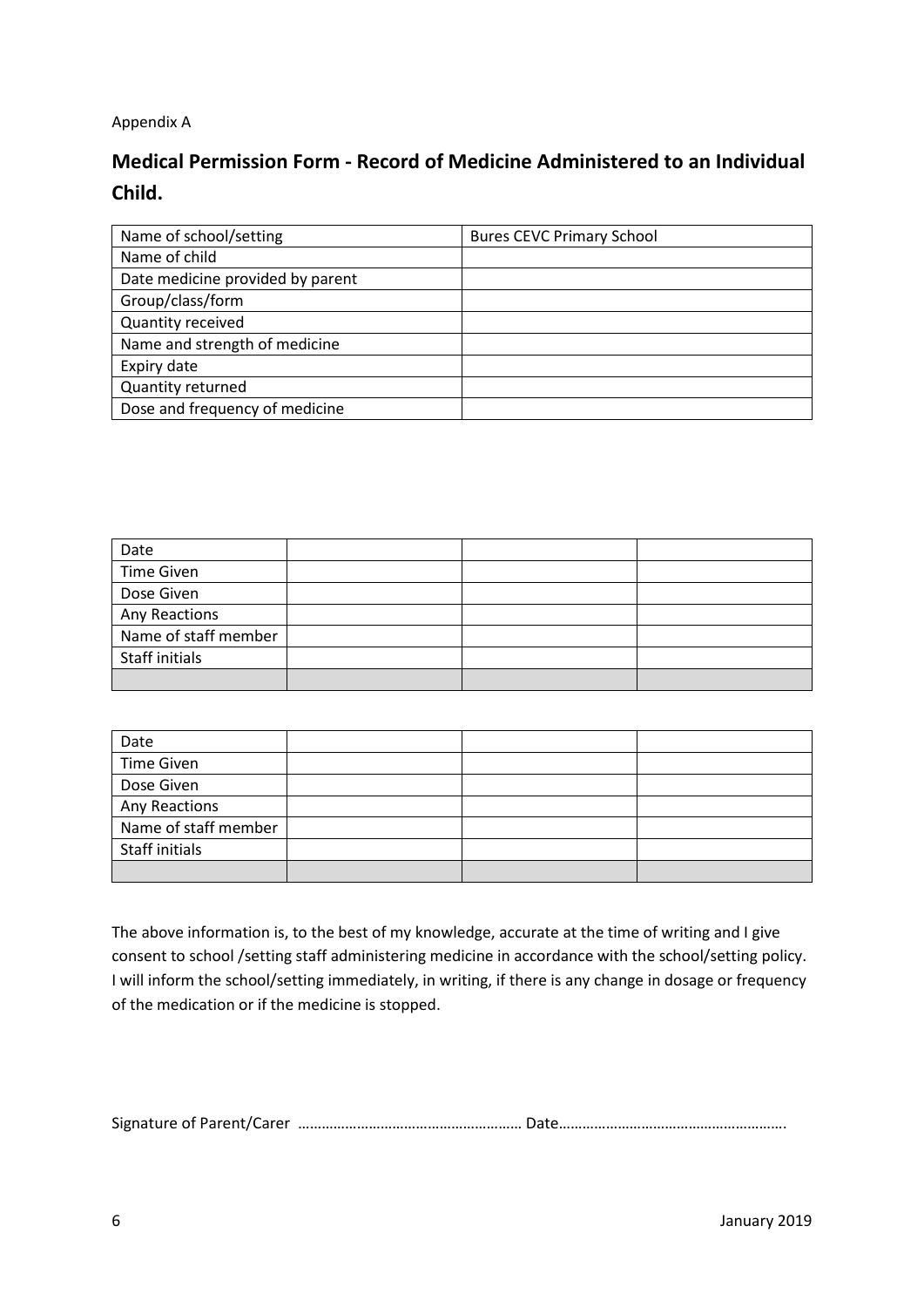## Appendix A

# **Medical Permission Form - Record of Medicine Administered to an Individual Child.**

| Name of school/setting           | <b>Bures CEVC Primary School</b> |
|----------------------------------|----------------------------------|
| Name of child                    |                                  |
| Date medicine provided by parent |                                  |
| Group/class/form                 |                                  |
| Quantity received                |                                  |
| Name and strength of medicine    |                                  |
| Expiry date                      |                                  |
| Quantity returned                |                                  |
| Dose and frequency of medicine   |                                  |
|                                  |                                  |

| Date                 |  |  |
|----------------------|--|--|
| <b>Time Given</b>    |  |  |
| Dose Given           |  |  |
| Any Reactions        |  |  |
| Name of staff member |  |  |
| Staff initials       |  |  |
|                      |  |  |

| Date                 |  |  |
|----------------------|--|--|
| <b>Time Given</b>    |  |  |
| Dose Given           |  |  |
| Any Reactions        |  |  |
| Name of staff member |  |  |
| Staff initials       |  |  |
|                      |  |  |

The above information is, to the best of my knowledge, accurate at the time of writing and I give consent to school /setting staff administering medicine in accordance with the school/setting policy. I will inform the school/setting immediately, in writing, if there is any change in dosage or frequency of the medication or if the medicine is stopped.

Signature of Parent/Carer ………………………………………………… Date………………………………………………….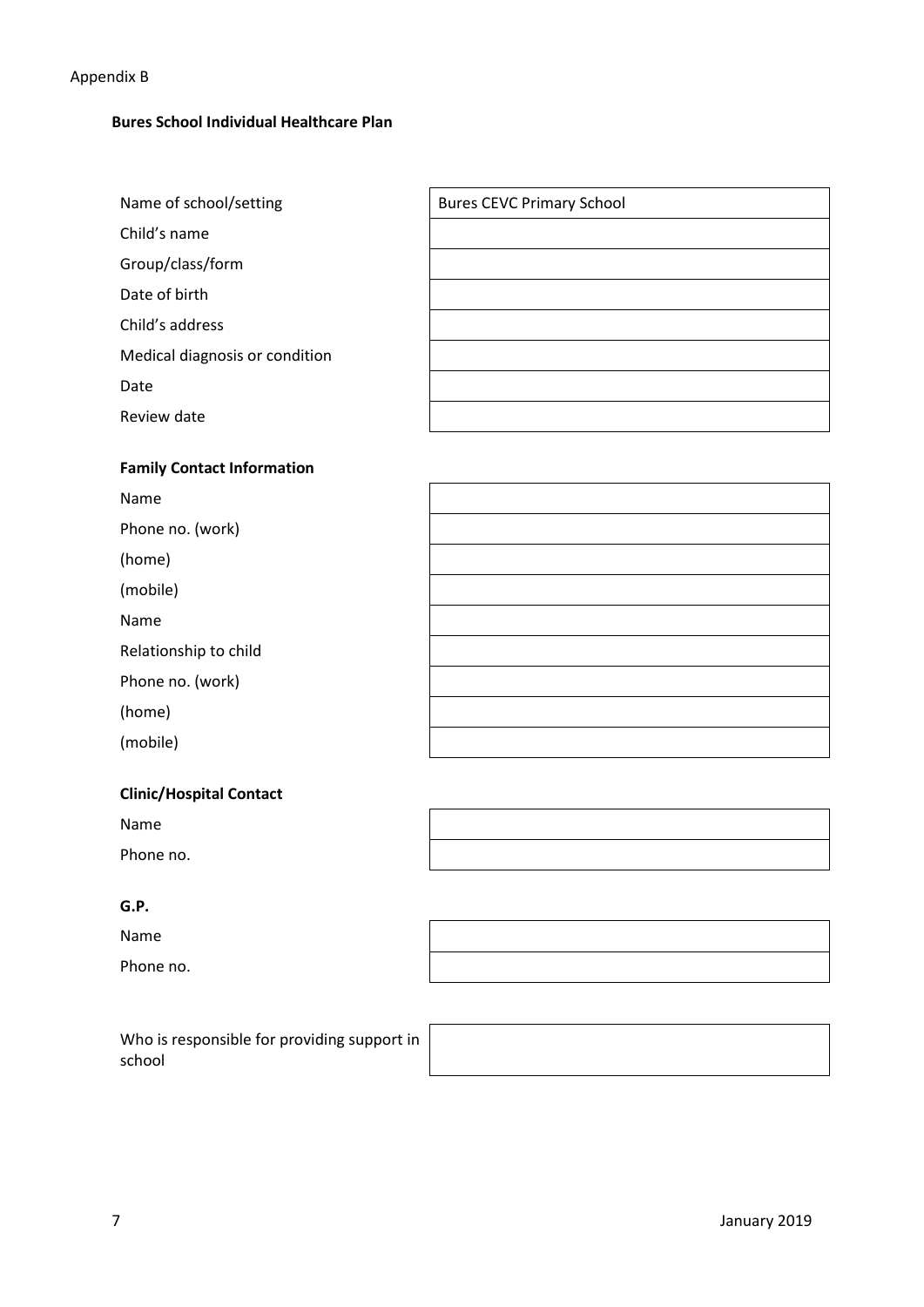## Appendix B

## **Bures School Individual Healthcare Plan**

| Name of school/setting            | <b>Bures CEVC Primary School</b> |  |  |
|-----------------------------------|----------------------------------|--|--|
| Child's name                      |                                  |  |  |
| Group/class/form                  |                                  |  |  |
| Date of birth                     |                                  |  |  |
| Child's address                   |                                  |  |  |
| Medical diagnosis or condition    |                                  |  |  |
| Date                              |                                  |  |  |
| Review date                       |                                  |  |  |
|                                   |                                  |  |  |
| <b>Family Contact Information</b> |                                  |  |  |
| <b>Name</b>                       |                                  |  |  |

| <b>N</b> dille        |  |
|-----------------------|--|
| Phone no. (work)      |  |
| (home)                |  |
| (mobile)              |  |
| Name                  |  |
| Relationship to child |  |
| Phone no. (work)      |  |
| (home)                |  |
| (mobile)              |  |
|                       |  |

## **Clinic/Hospital Contact**

Name

Phone no.

## **G.P.**

Name

Phone no.

Who is responsible for providing support in school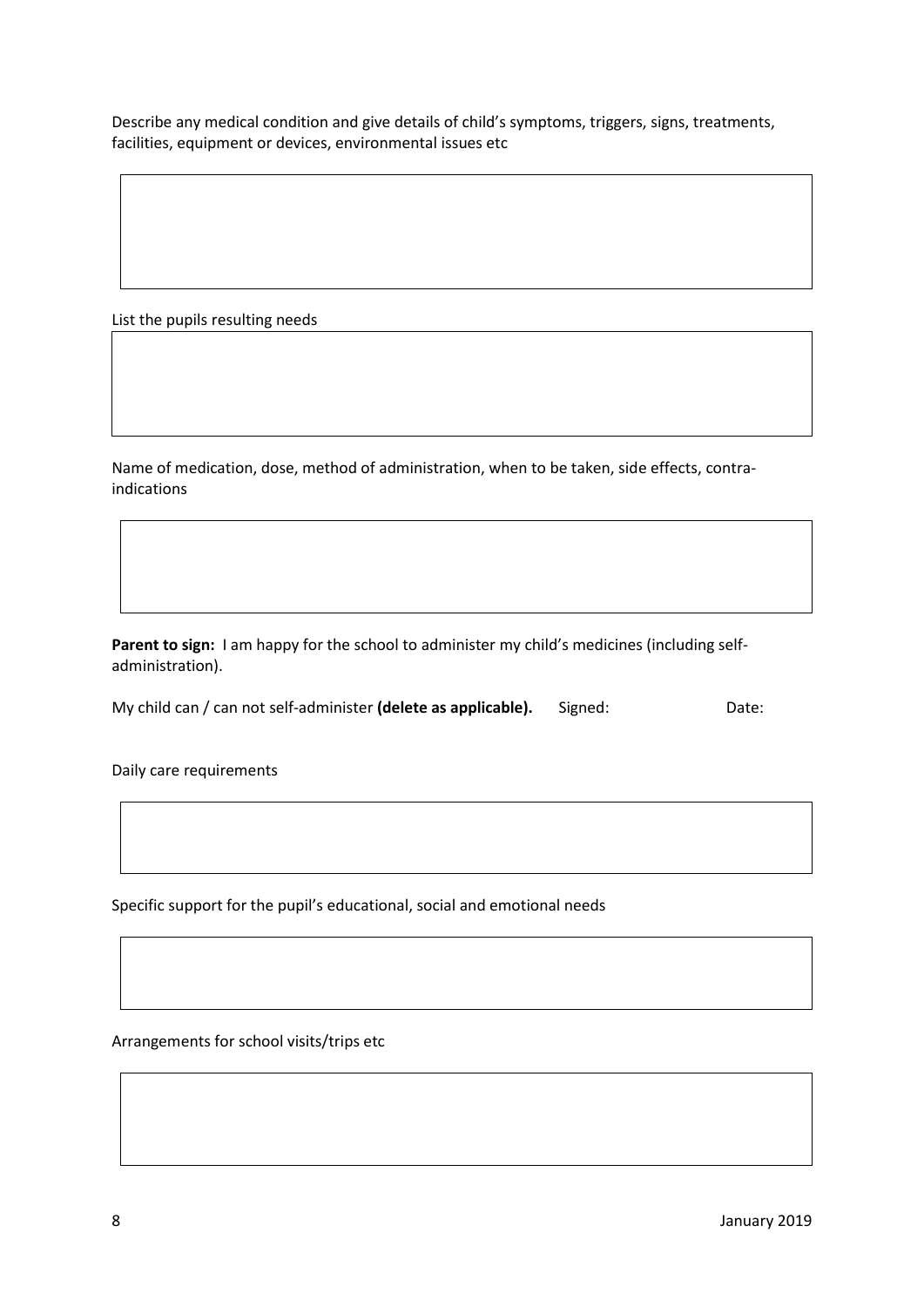Describe any medical condition and give details of child's symptoms, triggers, signs, treatments, facilities, equipment or devices, environmental issues etc

List the pupils resulting needs

Name of medication, dose, method of administration, when to be taken, side effects, contraindications

Parent to sign: I am happy for the school to administer my child's medicines (including selfadministration).

My child can / can not self-administer **(delete as applicable).** Signed: Date:

Daily care requirements

Specific support for the pupil's educational, social and emotional needs

Arrangements for school visits/trips etc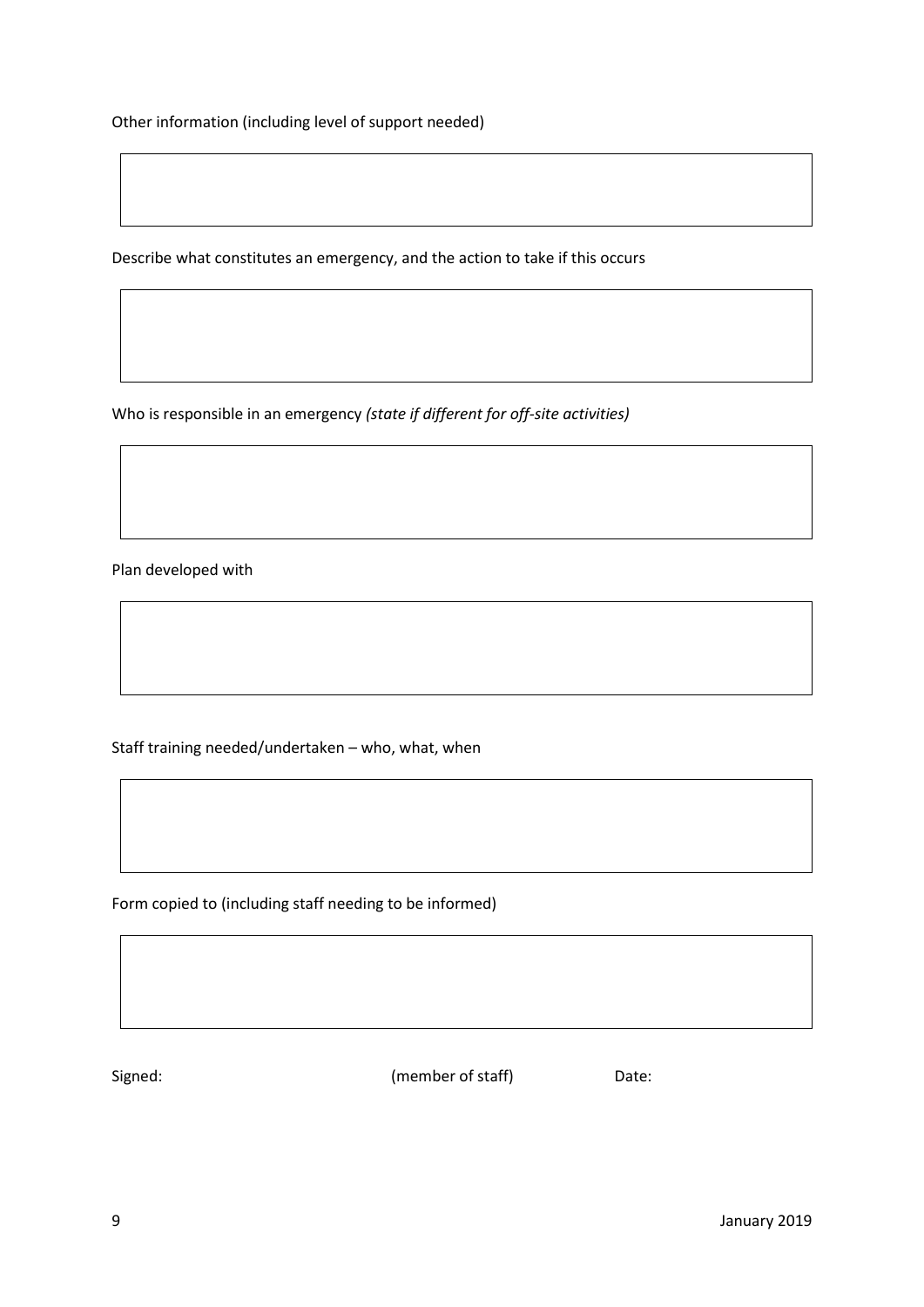Other information (including level of support needed)

Describe what constitutes an emergency, and the action to take if this occurs

Who is responsible in an emergency *(state if different for off-site activities)*

Plan developed with

Staff training needed/undertaken – who, what, when

Form copied to (including staff needing to be informed)

Signed: Contract Contract Contract Contract Contract Contract Contract Contract Contract Contract Contract Contract Contract Contract Contract Contract Contract Contract Contract Contract Contract Contract Contract Contrac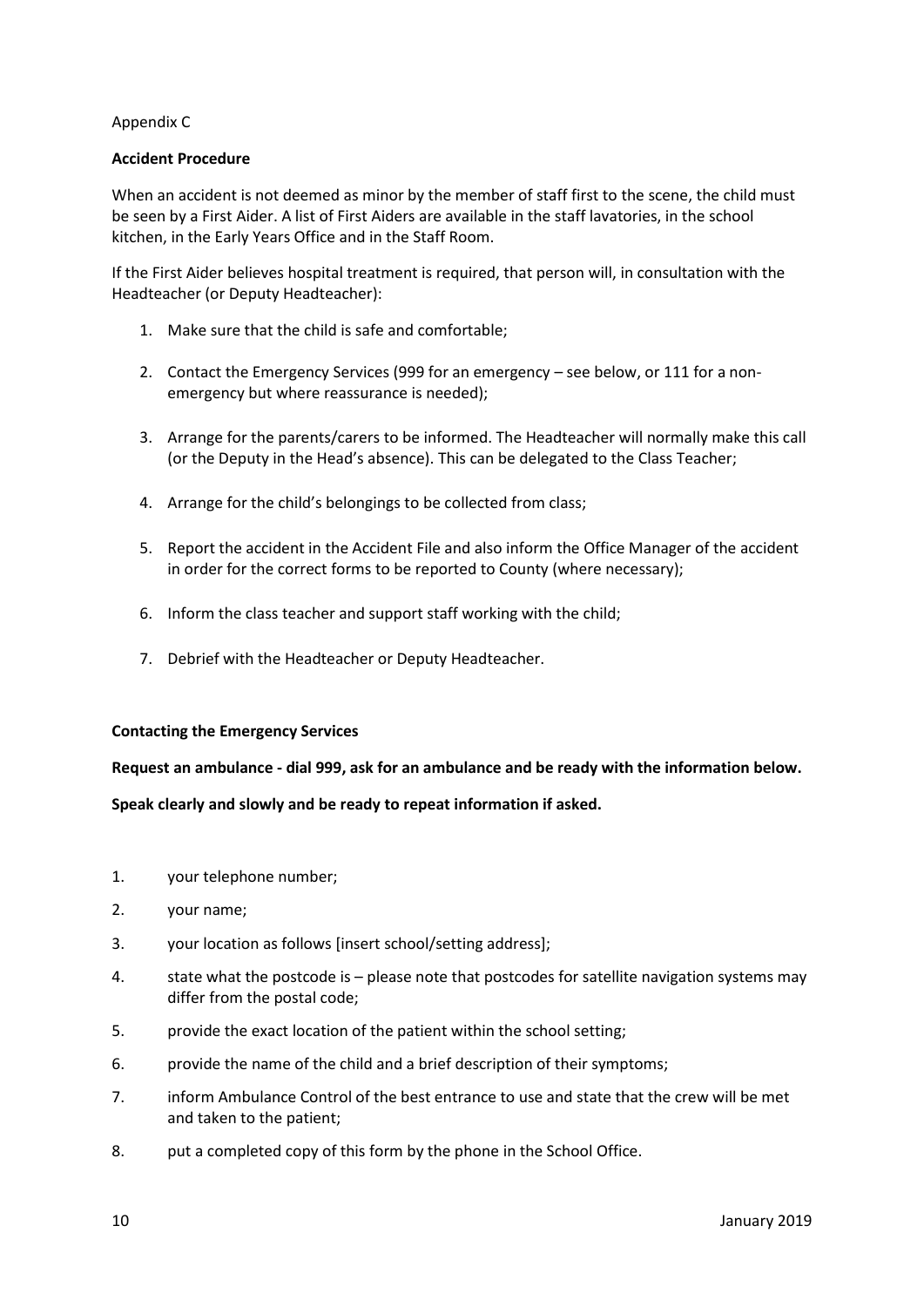#### Appendix C

#### **Accident Procedure**

When an accident is not deemed as minor by the member of staff first to the scene, the child must be seen by a First Aider. A list of First Aiders are available in the staff lavatories, in the school kitchen, in the Early Years Office and in the Staff Room.

If the First Aider believes hospital treatment is required, that person will, in consultation with the Headteacher (or Deputy Headteacher):

- 1. Make sure that the child is safe and comfortable;
- 2. Contact the Emergency Services (999 for an emergency see below, or 111 for a nonemergency but where reassurance is needed);
- 3. Arrange for the parents/carers to be informed. The Headteacher will normally make this call (or the Deputy in the Head's absence). This can be delegated to the Class Teacher;
- 4. Arrange for the child's belongings to be collected from class;
- 5. Report the accident in the Accident File and also inform the Office Manager of the accident in order for the correct forms to be reported to County (where necessary);
- 6. Inform the class teacher and support staff working with the child;
- 7. Debrief with the Headteacher or Deputy Headteacher.

#### **Contacting the Emergency Services**

**Request an ambulance - dial 999, ask for an ambulance and be ready with the information below.**

**Speak clearly and slowly and be ready to repeat information if asked.**

- 1. your telephone number;
- 2. your name;
- 3. your location as follows [insert school/setting address];
- 4. state what the postcode is please note that postcodes for satellite navigation systems may differ from the postal code;
- 5. provide the exact location of the patient within the school setting;
- 6. provide the name of the child and a brief description of their symptoms;
- 7. inform Ambulance Control of the best entrance to use and state that the crew will be met and taken to the patient;
- 8. put a completed copy of this form by the phone in the School Office.